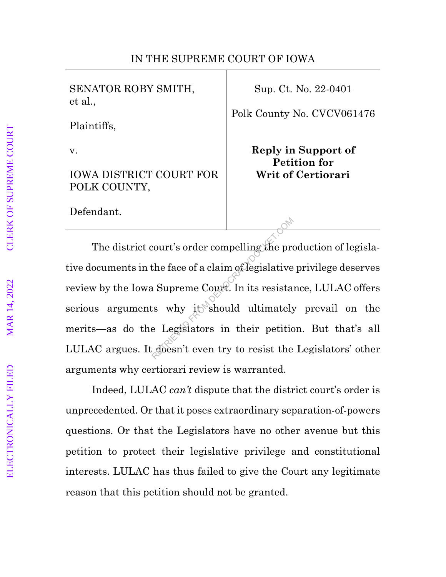## IN THE SUPREME COURT OF IOWA

SENATOR ROBY SMITH, et al.,

Plaintiffs,

v.

IOWA DISTRICT COURT FOR POLK COUNTY,

Defendant.

Sup. Ct. No. 22-0401

Polk County No. CVCV061476

**Reply in Support of Petition for Writ of Certiorari**

The district court's order compelling the production of legislative documents in the face of a claim of legislative privilege deserves review by the Iowa Supreme Court. In its resistance, LULAC offers serious arguments why it should ultimately prevail on the merits—as do the Legislators in their petition. But that's all LULAC argues. It doesn't even try to resist the Legislators' other arguments why certiorari review is warranted. From the face of a claim of legislative<br>Represent the face of a claim of legislative<br>Represent Court. In its resistant swhy it should ultimately<br>Represent to their petitic<br>Represent even try to resist the

Indeed, LULAC *can't* dispute that the district court's order is unprecedented. Or that it poses extraordinary separation-of-powers questions. Or that the Legislators have no other avenue but this petition to protect their legislative privilege and constitutional interests. LULAC has thus failed to give the Court any legitimate reason that this petition should not be granted.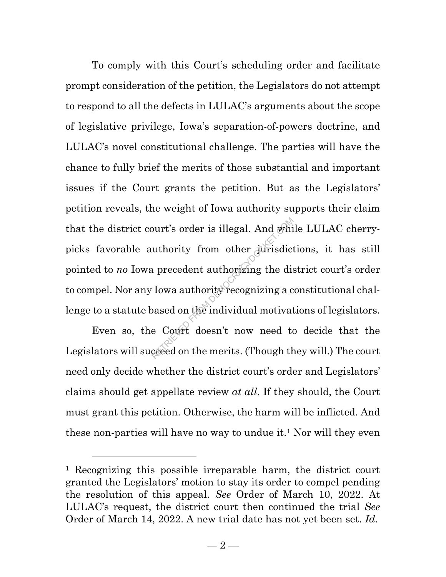To comply with this Court's scheduling order and facilitate prompt consideration of the petition, the Legislators do not attempt to respond to all the defects in LULAC's arguments about the scope of legislative privilege, Iowa's separation-of-powers doctrine, and LULAC's novel constitutional challenge. The parties will have the chance to fully brief the merits of those substantial and important issues if the Court grants the petition. But as the Legislators' petition reveals, the weight of Iowa authority supports their claim that the district court's order is illegal. And while LULAC cherrypicks favorable authority from other jurisdictions, it has still pointed to *no* Iowa precedent authorizing the district court's order to compel. Nor any Iowa authority recognizing a constitutional challenge to a statute based on the individual motivations of legislators. ourt's order is illegal. And white<br>
uthority from other jurisdict<br>
uprecedent authorizing the dis<br>
Use authority recognizing a c<br>
cased on the individual motivat<br>
cased on the merits. (Though the

Even so, the Court doesn't now need to decide that the Legislators will succeed on the merits. (Though they will.) The court need only decide whether the district court's order and Legislators' claims should get appellate review *at all*. If they should, the Court must grant this petition. Otherwise, the harm will be inflicted. And these non-parties will have no way to undue it. <sup>1</sup> Nor will they even

<sup>1</sup> Recognizing this possible irreparable harm, the district court granted the Legislators' motion to stay its order to compel pending the resolution of this appeal. *See* Order of March 10, 2022. At LULAC's request, the district court then continued the trial *See*  Order of March 14, 2022. A new trial date has not yet been set. *Id.*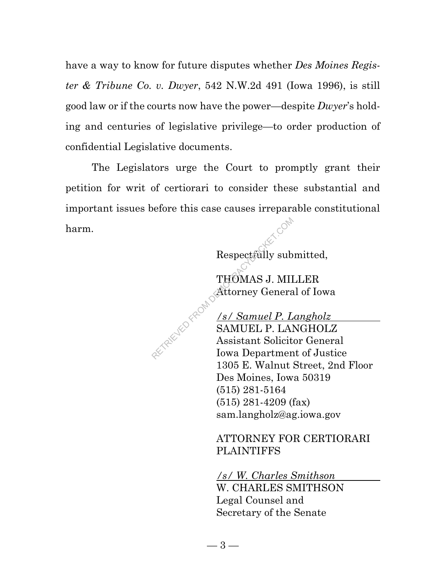have a way to know for future disputes whether *Des Moines Register & Tribune Co. v. Dwyer*, 542 N.W.2d 491 (Iowa 1996), is still good law or if the courts now have the power—despite *Dwyer*'s holding and centuries of legislative privilege—to order production of confidential Legislative documents.

The Legislators urge the Court to promptly grant their petition for writ of certiorari to consider these substantial and important issues before this case causes irreparable constitutional harm.

Respectfully submitted,

THOMAS J. MILLER Attorney General of Iowa

*/s/ Samuel P. Langholz* 

SAMUEL P. LANGHOLZ Assistant Solicitor General Iowa Department of Justice 1305 E. Walnut Street, 2nd Floor Des Moines, Iowa 50319 (515) 281-5164 (515) 281-4209 (fax) sam.langholz@ag.iowa.gov Respectfully sub<br>
THOMAS J. MII<br>
Attorney Genera<br>
Attorney Genera<br>
SAMUEL P. LAI<br>
Assistant Solicit<br>
Iowa Departmen

> ATTORNEY FOR CERTIORARI PLAINTIFFS

*/s/ W. Charles Smithson*  W. CHARLES SMITHSON Legal Counsel and Secretary of the Senate